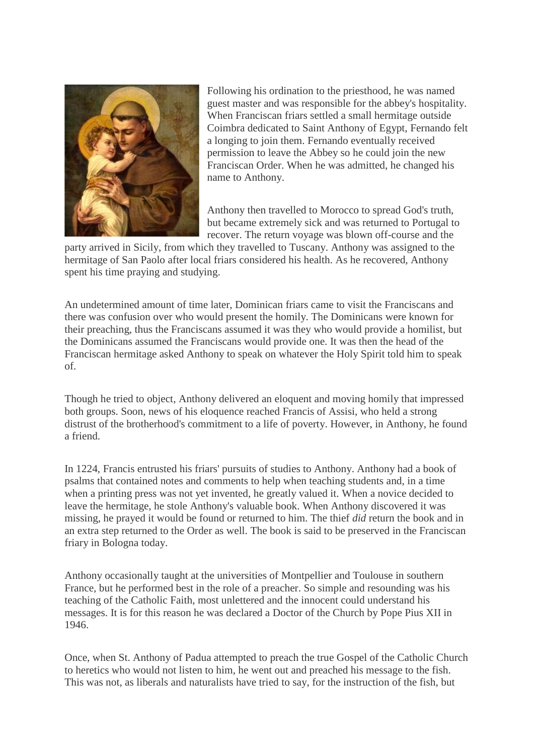

Following his ordination to the priesthood, he was named guest master and was responsible for the abbey's hospitality. When Franciscan friars settled a small hermitage outside Coimbra dedicated to Saint Anthony of Egypt, Fernando felt a longing to join them. Fernando eventually received permission to leave the Abbey so he could join the new Franciscan Order. When he was admitted, he changed his name to Anthony.

Anthony then travelled to Morocco to spread God's truth, but became extremely sick and was returned to Portugal to recover. The return voyage was blown off-course and the

party arrived in Sicily, from which they travelled to Tuscany. Anthony was assigned to the hermitage of San Paolo after local friars considered his health. As he recovered, Anthony spent his time praying and studying.

An undetermined amount of time later, Dominican friars came to visit the Franciscans and there was confusion over who would present the homily. The Dominicans were known for their preaching, thus the Franciscans assumed it was they who would provide a homilist, but the Dominicans assumed the Franciscans would provide one. It was then the head of the Franciscan hermitage asked Anthony to speak on whatever the Holy Spirit told him to speak of.

Though he tried to object, Anthony delivered an eloquent and moving homily that impressed both groups. Soon, news of his eloquence reached Francis of Assisi, who held a strong distrust of the brotherhood's commitment to a life of poverty. However, in Anthony, he found a friend.

In 1224, Francis entrusted his friars' pursuits of studies to Anthony. Anthony had a book of psalms that contained notes and comments to help when teaching students and, in a time when a printing press was not yet invented, he greatly valued it. When a novice decided to leave the hermitage, he stole Anthony's valuable book. When Anthony discovered it was missing, he prayed it would be found or returned to him. The thief *did* return the book and in an extra step returned to the Order as well. The book is said to be preserved in the Franciscan friary in Bologna today.

Anthony occasionally taught at the universities of Montpellier and Toulouse in southern France, but he performed best in the role of a preacher. So simple and resounding was his teaching of the Catholic Faith, most unlettered and the innocent could understand his messages. It is for this reason he was declared a Doctor of the Church by Pope Pius XII in 1946.

Once, when St. Anthony of Padua attempted to preach the true Gospel of the Catholic Church to heretics who would not listen to him, he went out and preached his message to the fish. This was not, as liberals and naturalists have tried to say, for the instruction of the fish, but